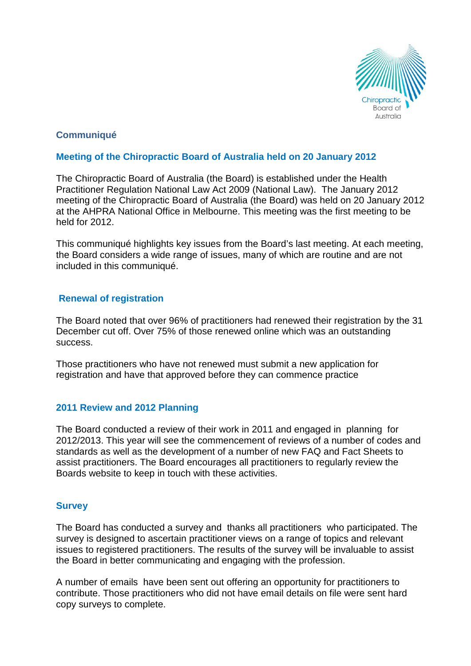

# **Communiqué**

## **Meeting of the Chiropractic Board of Australia held on 20 January 2012**

The Chiropractic Board of Australia (the Board) is established under the Health Practitioner Regulation National Law Act 2009 (National Law). The January 2012 meeting of the Chiropractic Board of Australia (the Board) was held on 20 January 2012 at the AHPRA National Office in Melbourne. This meeting was the first meeting to be held for 2012.

This communiqué highlights key issues from the Board's last meeting. At each meeting, the Board considers a wide range of issues, many of which are routine and are not included in this communiqué.

### **Renewal of registration**

The Board noted that over 96% of practitioners had renewed their registration by the 31 December cut off. Over 75% of those renewed online which was an outstanding success.

Those practitioners who have not renewed must submit a new application for registration and have that approved before they can commence practice

# **2011 Review and 2012 Planning**

The Board conducted a review of their work in 2011 and engaged in planning for 2012/2013. This year will see the commencement of reviews of a number of codes and standards as well as the development of a number of new FAQ and Fact Sheets to assist practitioners. The Board encourages all practitioners to regularly review the Boards website to keep in touch with these activities.

# **Survey**

The Board has conducted a survey and thanks all practitioners who participated. The survey is designed to ascertain practitioner views on a range of topics and relevant issues to registered practitioners. The results of the survey will be invaluable to assist the Board in better communicating and engaging with the profession.

A number of emails have been sent out offering an opportunity for practitioners to contribute. Those practitioners who did not have email details on file were sent hard copy surveys to complete.